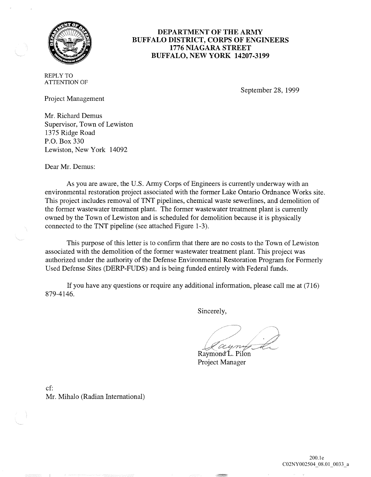

# **DEPARTMENT OF THE ARMY BUFFALO DISTRICT, CORPS OF ENGINEERS 1776 NIAGARA STREET BUFFALO, NEW YORK 14207-3199**

REPLY TO ATTENTION OF

September 28, 1999

Project Management

Mr. Richard Demus Supervisor, Town of Lewiston 1375 Ridge Road P.O. Box 330 Lewiston, New York 14092

Dear Mr. Demus:

As you are aware, the U.S. Army Corps of Engineers is currently underway with an environmental restoration project associated with the former Lake Ontario Ordnance Works site. This project includes removal of TNT pipelines, chemical waste sewerlines, and demolition of the former wastewater treatment plant. The former wastewater treatment plant is currently owned by the Town of Lewiston and is scheduled for demolition because it is physically connected to the TNT pipeline (see attached Figure 1-3).

This purpose of this letter is to confirm that there are no costs to the Town of Lewiston associated with the demolition of the former wastewater treatment plant. This project was authorized under the authority of the Defense Environmental Restoration Program for Formerly Used Defense Sites (DERP-FUDS) and is being funded entirely with Federal funds.

If you have any questions or require any additional information, please call me at (716) 879-4146.

Sincerely,

ayny

Raymond L. Pilon Project Manager

cf: Mr. Mihalo (Radian International)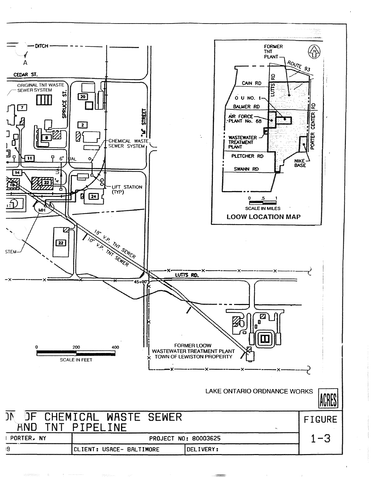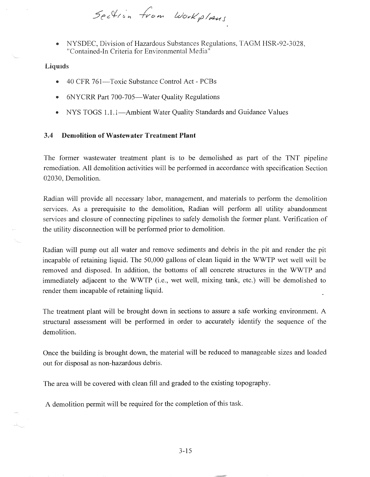Section from Workplans

NYSDEC, Division of Hazardous Substances Regulations, TAGM HSR-92-3028, "Contained-In Criteria for Environmental Media"

## **Liquids**

- 40 CFR 761-Toxic Substance Control Act PCBs
- 6NYCRR Part 700-705-Water Quality Regulations
- NYS TOGS 1.1.1—Ambient Water Quality Standards and Guidance Values

### 3.4 Demolition of Wastewater Treatment Plant

The former wastewater treatment plant is to be demolished as part of the TNT pipeline remediation. All demolition activities will be performed in accordance with specification Section 02030, Demolition.

Radian will provide all necessary labor, management, and materials to perform the demolition services. As a prerequisite to the demolition, Radian will perform all utility abandonment services and closure of connecting pipelines to safely demolish the former plant. Verification of the utility disconnection will be performed prior to demolition.

Radian will pump out all water and remove sediments and debris in the pit and render the pit incapable of retaining liquid. The 50,000 gallons of clean liquid in the WWTP wet well will be removed and disposed. In addition, the bottoms of all concrete structures in the WWTP and immediately adjacent to the WWTP (i.e., wet well, mixing tank, etc.) will be demolished to render them incapable of retaining liquid.

The treatment plant will be brought down in sections to assure a safe working environment. A structural assessment will be performed in order to accurately identify the sequence of the demolition.

Once the building is brought down, the material will be reduced to manageable sizes and loaded out for disposal as non-hazardous debris.

The area will be covered with clean fill and graded to the existing topography.

A demolition permit will be required for the completion of this task.